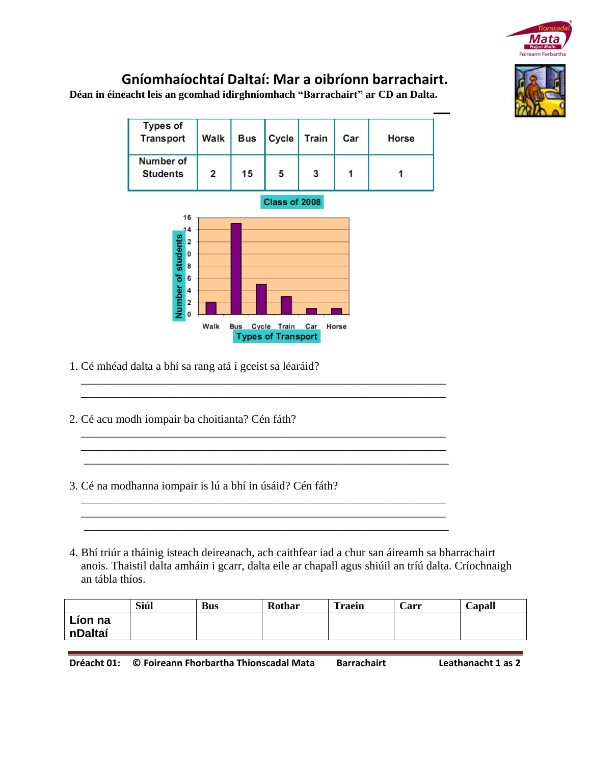

## **Gníomhaíochtaí Daltaí: Mar a oibríonn barrachairt.**

**Déan in éineacht leis an gcomhad idirghníomhach "Barrachairt" ar CD an Dalta.**



 \_\_\_\_\_\_\_\_\_\_\_\_\_\_\_\_\_\_\_\_\_\_\_\_\_\_\_\_\_\_\_\_\_\_\_\_\_\_\_\_\_\_\_\_\_\_\_\_\_\_\_\_\_\_\_\_\_\_\_\_\_\_\_ \_\_\_\_\_\_\_\_\_\_\_\_\_\_\_\_\_\_\_\_\_\_\_\_\_\_\_\_\_\_\_\_\_\_\_\_\_\_\_\_\_\_\_\_\_\_\_\_\_\_\_\_\_\_\_\_\_\_\_\_\_\_\_

 \_\_\_\_\_\_\_\_\_\_\_\_\_\_\_\_\_\_\_\_\_\_\_\_\_\_\_\_\_\_\_\_\_\_\_\_\_\_\_\_\_\_\_\_\_\_\_\_\_\_\_\_\_\_\_\_\_\_\_\_\_\_\_ \_\_\_\_\_\_\_\_\_\_\_\_\_\_\_\_\_\_\_\_\_\_\_\_\_\_\_\_\_\_\_\_\_\_\_\_\_\_\_\_\_\_\_\_\_\_\_\_\_\_\_\_\_\_\_\_\_\_\_\_\_\_\_ \_\_\_\_\_\_\_\_\_\_\_\_\_\_\_\_\_\_\_\_\_\_\_\_\_\_\_\_\_\_\_\_\_\_\_\_\_\_\_\_\_\_\_\_\_\_\_\_\_\_\_\_\_\_\_\_\_\_\_\_\_\_\_

 \_\_\_\_\_\_\_\_\_\_\_\_\_\_\_\_\_\_\_\_\_\_\_\_\_\_\_\_\_\_\_\_\_\_\_\_\_\_\_\_\_\_\_\_\_\_\_\_\_\_\_\_\_\_\_\_\_\_\_\_\_\_\_ \_\_\_\_\_\_\_\_\_\_\_\_\_\_\_\_\_\_\_\_\_\_\_\_\_\_\_\_\_\_\_\_\_\_\_\_\_\_\_\_\_\_\_\_\_\_\_\_\_\_\_\_\_\_\_\_\_\_\_\_\_\_\_ \_\_\_\_\_\_\_\_\_\_\_\_\_\_\_\_\_\_\_\_\_\_\_\_\_\_\_\_\_\_\_\_\_\_\_\_\_\_\_\_\_\_\_\_\_\_\_\_\_\_\_\_\_\_\_\_\_\_\_\_\_\_\_

- 1. Cé mhéad dalta a bhí sa rang atá i gceist sa léaráid?
- 2. Cé acu modh iompair ba choitianta? Cén fáth?
- 3. Cé na modhanna iompair is lú a bhí in úsáid? Cén fáth?
- 4. Bhí triúr a tháinig isteach deireanach, ach caithfear iad a chur san áireamh sa bharrachairt anois. Thaistil dalta amháin i gcarr, dalta eile ar chapall agus shiúil an tríú dalta. Críochnaigh an tábla thíos.

|         | Siúl | <b>Bus</b> | Rothar | <b>Traein</b> | Carr | Capall |
|---------|------|------------|--------|---------------|------|--------|
| Líon na |      |            |        |               |      |        |
| nDaltaí |      |            |        |               |      |        |